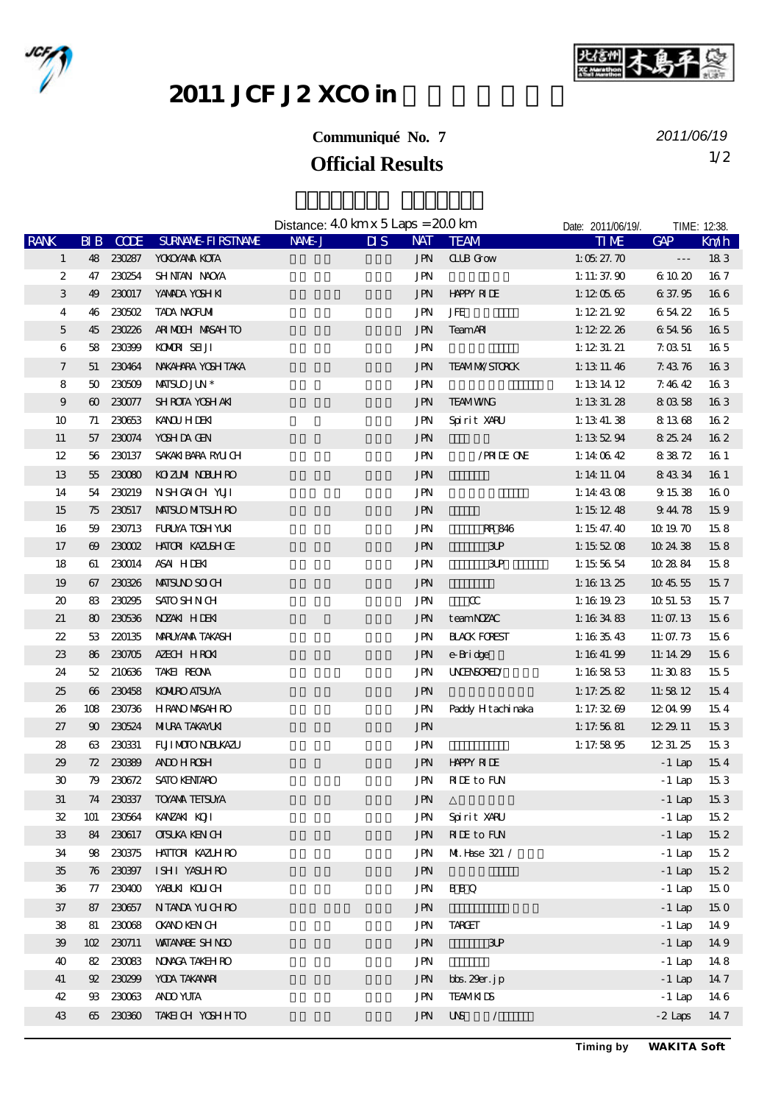



2011 JCF J2 XCO in

## **Communiqué No. 7**

*2011/06/19*

## **Official Results** 1/2

|                             |                       |             |                           | Distance: $40 \text{ km} \times 5 \text{ Laps} = 200 \text{ km}$ |                           |            | Date: 2011/06/19/.       | TIME: 12:38.         |                      |                 |
|-----------------------------|-----------------------|-------------|---------------------------|------------------------------------------------------------------|---------------------------|------------|--------------------------|----------------------|----------------------|-----------------|
| <b>RANK</b>                 | $B\,B$                | <b>CODE</b> | <b>SURVANE FIRSTIVANE</b> | NAME J                                                           | $\overline{\mathbf{u}}$ s | <b>NAT</b> | <b>TEAM</b>              | <b>TIME</b>          | GAP                  | Km/h            |
| $\mathbf{1}$                |                       | 48 230287   | <b>YOKOYANA KOTA</b>      |                                                                  |                           | <b>JPN</b> | <b>CLIB</b> Grow         | 1: $0527.70$         | $\sim$ $\sim$ $\sim$ | 183             |
| 2                           |                       | 47 230254   | SHNIAN NAOYA              |                                                                  |                           | JPN        |                          | 1: 11: $37.90$       | 6 10 20              | 167             |
| 3                           | 49                    | 230017      | YANADA YOSH KI            |                                                                  |                           | <b>JPN</b> | <b>HAPPY RIDE</b>        | 1:120565             | 6 37.95              | 166             |
| 4                           | 46                    | 230502      | <b>TADA NACFUMI</b>       |                                                                  |                           | <b>JPN</b> | JFE                      | 1: 1221.92           | 65422                | 165             |
| $\mathbf 5$                 | 45                    | 230226      | ARIMOUH MASAHTO           |                                                                  |                           | <b>JPN</b> | <b>TeamAR</b>            | 1: $122226$          | 65456                | 165             |
| 6                           | 58                    | 230399      | KOMOR SELJI               |                                                                  |                           | <b>JPN</b> |                          | 1: $12 \t31.21$      | 7.0351               | 165             |
| $\tau$                      | 51                    | 230464      | NAKAHARA YOSH TAKA        |                                                                  |                           | <b>JPN</b> | <b>TEAMIMASTORCK</b>     | 1: 13 11 46          | 7.4376               | 163             |
| 8                           | 50                    | 230509      | <b>MISLO JUN*</b>         |                                                                  |                           | <b>JPN</b> |                          | 1:13 14 12           | 7.4642               | 163             |
| 9                           |                       | 60 230077   | <b>SHROTA YOSHAKI</b>     |                                                                  |                           | <b>JPN</b> | <b>TEAMWNG</b>           | 1: 13 31. $28$       | 80358                | 163             |
| 10                          | 71                    | 230653      | <b>KANOU HIDENI</b>       |                                                                  |                           | <b>JPN</b> | Spirit XARU              | 1: $13\ 41.38$       | 8 13 68              | 162             |
| 11                          | 57                    | 230074      | YOSH DA GEN               |                                                                  |                           | <b>JPN</b> |                          | 1: 135294            | 8 25 24              | 16 <sub>2</sub> |
| 12                          | 56                    | 230137      | SAKAKI BARA RAU CH        |                                                                  |                           | JPN        | /PRIDE ONE               | 1:14 $0642$          | 83872                | 16 1            |
| 13                          | 55                    | 230080      | <b>KOZIMI NBUHRO</b>      |                                                                  |                           | <b>JPN</b> |                          | 1: 14 11 04          | 84334                | 16 1            |
| 14                          | 54                    | 230219      | NSHOACH YUI               |                                                                  |                           | JPN        |                          | 1: $14\,43\,08$      | 9 15 38              | 160             |
| 15                          | 75                    | 230517      | <b>MISLO MITSLH RO</b>    |                                                                  |                           | <b>JPN</b> |                          | 1:151248             | 94478                | 159             |
| 16                          | 59                    | 230713      | <b>FURUYA TOSH YUKI</b>   |                                                                  |                           | JPN        | RR 846                   | 1: $15 \, 47. \, 40$ | 101970               | 158             |
| 17                          | $\boldsymbol{\omega}$ |             | 230002 HATOR KAZISHOE     |                                                                  |                           | <b>JPN</b> | 3P                       | 1:155208             | 10 24 38             | 158             |
| 18                          | 61                    |             | 230014 ASAI HDENI         |                                                                  |                           | JPN        | $\mathbf{3} \mathbf{P}$  | 1:15 56 54           | 10 28 84             | 158             |
| 19                          |                       | 67 230326   | <b>MISUNO SOI CH</b>      |                                                                  |                           | <b>JPN</b> |                          | 1:16 $13.25$         | 10 45 55             | 157             |
| $\boldsymbol{\mathfrak{D}}$ | 83                    | 230295      | <b>SATO SHN CH</b>        |                                                                  |                           | JPN        | $\alpha$                 | 1: 161923            | 10 51 53             | 157             |
| 21                          | 80                    |             | 230536 NZAKI HDEKI        |                                                                  |                           | <b>JPN</b> | teamNZAC                 | 1:16 $3483$          | 11:07.13             | 156             |
| $22\,$                      | 53                    | 220135      | MARUYANA TAKASH           |                                                                  |                           | JPN        | <b>HACK FOREST</b>       | 1:16 $35\,43$        | 11:07.73             | 156             |
| 23                          | 86                    | 230705      | AZECH HRON                |                                                                  |                           | <b>JPN</b> | e-Bridge                 | 1: $1641.99$         | 11:14 29             | 156             |
| 24                          | 52                    | 210636      | TAKEL REONA               |                                                                  |                           | <b>JPN</b> | <b>UNENSORED</b>         | 1:16 58 53           | 11:3083              | 155             |
| 25                          | $\boldsymbol{\omega}$ | 230458      | <b>KOMIRO ATSUYA</b>      |                                                                  |                           | <b>JPN</b> |                          | 1:17.25 $82$         | 11:58 12             | 154             |
| 26                          | 108                   | 230736      | <b>HRANO MASAH RO</b>     |                                                                  |                           | JPN        | Paddy Hitachimaka        | 1:17.32 $69$         | 120499               | 154             |
| 27                          | $90^{\circ}$          | 230524      | <b>MILRA TAKAYLKI</b>     |                                                                  |                           | <b>JPN</b> |                          | 1: 17.5681           | 12 29 11             | 153             |
| 28                          | 63                    | 230331      | <b>FUILMOIO NEUKAZU</b>   |                                                                  |                           | <b>JPN</b> |                          | 1:17.58 $95$         | 12 31 25             | 153             |
| 29                          |                       | 72 23089    | <b>AND HROSH</b>          |                                                                  |                           | JPN        | <b>HAPPY RIDE</b>        |                      | $-1$ Lap             | 154             |
| 30                          | 79                    | 230672      | <b>SATO KENTARO</b>       |                                                                  |                           | <b>JPN</b> | <b>NIE</b> to FUN        |                      | $-1$ Lap             | 153             |
| 31                          |                       | 74 230337   | <b>TOYAVA TEISUYA</b>     |                                                                  |                           | <b>JPN</b> |                          |                      | $-1$ Lap             | 153             |
| 32                          |                       |             | 101 230564 KANZAKI KOJI   |                                                                  |                           | JPN        | Spirit XARU              |                      | $-1$ Lap             | 152             |
| 33                          |                       | 84 230617   | <b>CISUKA KEN CH</b>      |                                                                  |                           | <b>JPN</b> | <b>NIE</b> to FUN        |                      | $-1$ Lap             | 152             |
| 34                          |                       | 98 230375   | <b>HATTON KAZUH RO</b>    |                                                                  |                           | JPN        | ML Hase 321 /            |                      | $-1$ Lap             | 152             |
| 35                          |                       | 76 230397   | ISHI YASUHRO              |                                                                  |                           | <b>JPN</b> |                          |                      | $-1$ Lap             | 15 <sub>2</sub> |
| $36\,$                      |                       | 77 230400   | YABUKI KOUCH              |                                                                  |                           | JPN        | <b>BBQ</b>               |                      | $-1$ Lap             | 150             |
| 37                          |                       | 87 230657   | NTANDA YUCHRO             |                                                                  |                           | <b>JPN</b> |                          |                      | $-1$ Lap             | 150             |
| 38                          |                       | 81 230068   | <b>OKANO KEN CH</b>       |                                                                  |                           | JPN        | <b>TARCET</b>            |                      | $-1$ Lap             | 149             |
| $\mathfrak{B}$              |                       | 102 230711  | <b>WATANAE SHNCO</b>      |                                                                  |                           | <b>JPN</b> | 3P                       |                      | $-1$ Lap             | 149             |
| 40                          |                       | 82 230 083  | <b>NONCA TAKEH RO</b>     |                                                                  |                           | JPN        |                          |                      | $-1$ Lap             | 148             |
| 41                          |                       | 92, 23029   | YODA TAKANARI             |                                                                  |                           | <b>JPN</b> | bbs. 29er. jp            |                      | $-1$ Lap             | 147             |
| 42                          |                       | 93 230 03   | AND YUTA                  |                                                                  |                           | <b>JPN</b> | <b>TEAMKIDS</b>          |                      | $-1$ Lap             | 14 6            |
| 43                          |                       |             | 65 230360 TAKEICH YOSHHTO |                                                                  |                           | <b>JPN</b> | <b>UNS</b><br>$\sqrt{2}$ |                      | $-2$ Laps            | 147             |
|                             |                       |             |                           |                                                                  |                           |            |                          |                      |                      |                 |